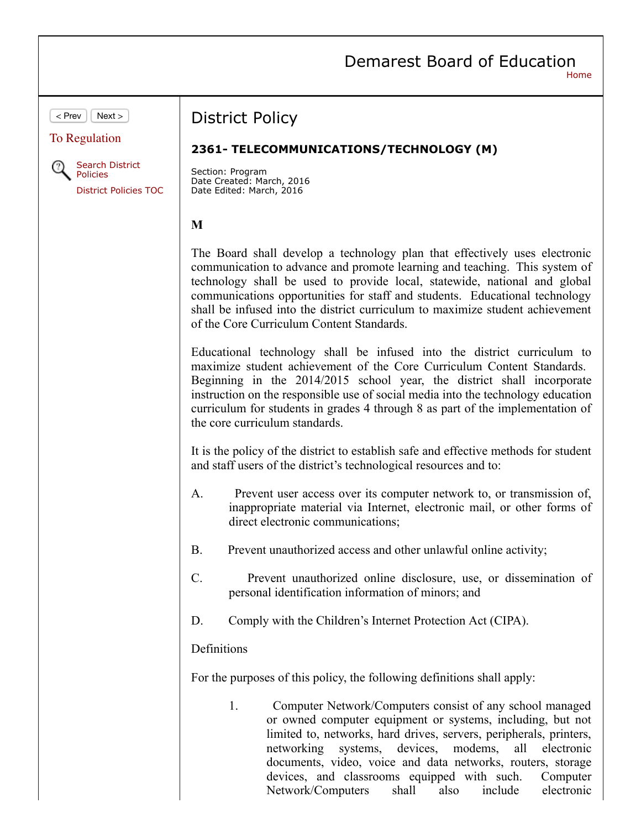# Demarest Board of Education

Network/Computers shall also include electronic

Home

 $\lt$  Prev  $\vert \vert$  Next  $\gt$ To Regulation **Search District** Policies District Policies TOC District Policy **2361- TELECOMMUNICATIONS/TECHNOLOGY (M)** Section: Program Date Created: March, 2016 Date Edited: March, 2016 **M** The Board shall develop a technology plan that effectively uses electronic communication to advance and promote learning and teaching. This system of technology shall be used to provide local, statewide, national and global communications opportunities for staff and students. Educational technology shall be infused into the district curriculum to maximize student achievement of the Core Curriculum Content Standards. Educational technology shall be infused into the district curriculum to maximize student achievement of the Core Curriculum Content Standards. Beginning in the 2014/2015 school year, the district shall incorporate instruction on the responsible use of social media into the technology education curriculum for students in grades 4 through 8 as part of the implementation of the core curriculum standards. It is the policy of the district to establish safe and effective methods for student and staff users of the district's technological resources and to: A. Prevent user access over its computer network to, or transmission of, inappropriate material via Internet, electronic mail, or other forms of direct electronic communications: B. Prevent unauthorized access and other unlawful online activity; C. Prevent unauthorized online disclosure, use, or dissemination of personal identification information of minors; and D. Comply with the Children's Internet Protection Act (CIPA). Definitions For the purposes of this policy, the following definitions shall apply: 1. Computer Network/Computers consist of any school managed or owned computer equipment or systems, including, but not limited to, networks, hard drives, servers, peripherals, printers, networking systems, devices, modems, all electronic documents, video, voice and data networks, routers, storage devices, and classrooms equipped with such. Computer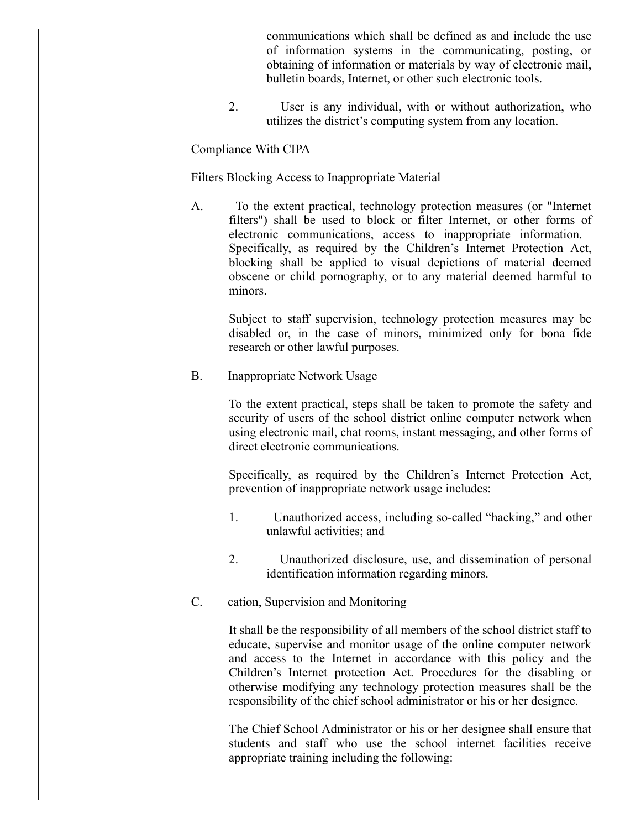communications which shall be defined as and include the use of information systems in the communicating, posting, or obtaining of information or materials by way of electronic mail, bulletin boards, Internet, or other such electronic tools.

2. User is any individual, with or without authorization, who utilizes the district's computing system from any location.

Compliance With CIPA

Filters Blocking Access to Inappropriate Material

A. To the extent practical, technology protection measures (or "Internet" filters") shall be used to block or filter Internet, or other forms of electronic communications, access to inappropriate information. Specifically, as required by the Children's Internet Protection Act, blocking shall be applied to visual depictions of material deemed obscene or child pornography, or to any material deemed harmful to minors.

Subject to staff supervision, technology protection measures may be disabled or, in the case of minors, minimized only for bona fide research or other lawful purposes.

B. Inappropriate Network Usage

To the extent practical, steps shall be taken to promote the safety and security of users of the school district online computer network when using electronic mail, chat rooms, instant messaging, and other forms of direct electronic communications.

Specifically, as required by the Children's Internet Protection Act, prevention of inappropriate network usage includes:

- 1. Unauthorized access, including so-called "hacking," and other unlawful activities; and
- 2. Unauthorized disclosure, use, and dissemination of personal identification information regarding minors.
- C. cation, Supervision and Monitoring

It shall be the responsibility of all members of the school district staff to educate, supervise and monitor usage of the online computer network and access to the Internet in accordance with this policy and the Children's Internet protection Act. Procedures for the disabling or otherwise modifying any technology protection measures shall be the responsibility of the chief school administrator or his or her designee.

The Chief School Administrator or his or her designee shall ensure that students and staff who use the school internet facilities receive appropriate training including the following: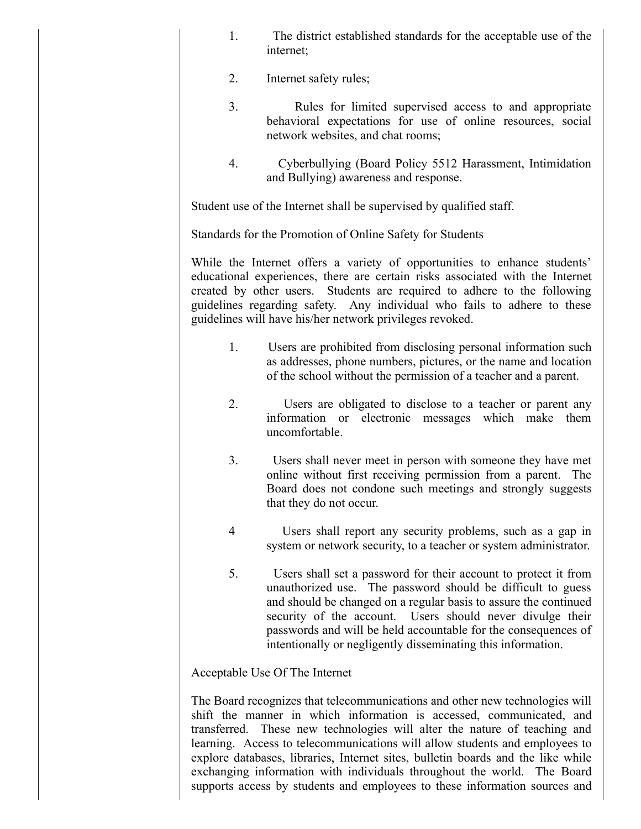- 1. The district established standards for the acceptable use of the internet;
- 2. Internet safety rules;
- 3. Rules for limited supervised access to and appropriate behavioral expectations for use of online resources, social network websites, and chat rooms;
- 4. Cyberbullying (Board Policy 5512 Harassment, Intimidation and Bullying) awareness and response.

Student use of the Internet shall be supervised by qualified staff.

Standards for the Promotion of Online Safety for Students

While the Internet offers a variety of opportunities to enhance students' educational experiences, there are certain risks associated with the Internet created by other users. Students are required to adhere to the following guidelines regarding safety. Any individual who fails to adhere to these guidelines will have his/her network privileges revoked.

- 1. Users are prohibited from disclosing personal information such as addresses, phone numbers, pictures, or the name and location of the school without the permission of a teacher and a parent.
- 2. Users are obligated to disclose to a teacher or parent any information or electronic messages which make them uncomfortable.
- 3. Users shall never meet in person with someone they have met online without first receiving permission from a parent. The Board does not condone such meetings and strongly suggests that they do not occur.
- 4 Users shall report any security problems, such as a gap in system or network security, to a teacher or system administrator.
- 5. Users shall set a password for their account to protect it from unauthorized use. The password should be difficult to guess and should be changed on a regular basis to assure the continued security of the account. Users should never divulge their passwords and will be held accountable for the consequences of intentionally or negligently disseminating this information.

Acceptable Use Of The Internet

The Board recognizes that telecommunications and other new technologies will shift the manner in which information is accessed, communicated, and transferred. These new technologies will alter the nature of teaching and learning. Access to telecommunications will allow students and employees to explore databases, libraries, Internet sites, bulletin boards and the like while exchanging information with individuals throughout the world. The Board supports access by students and employees to these information sources and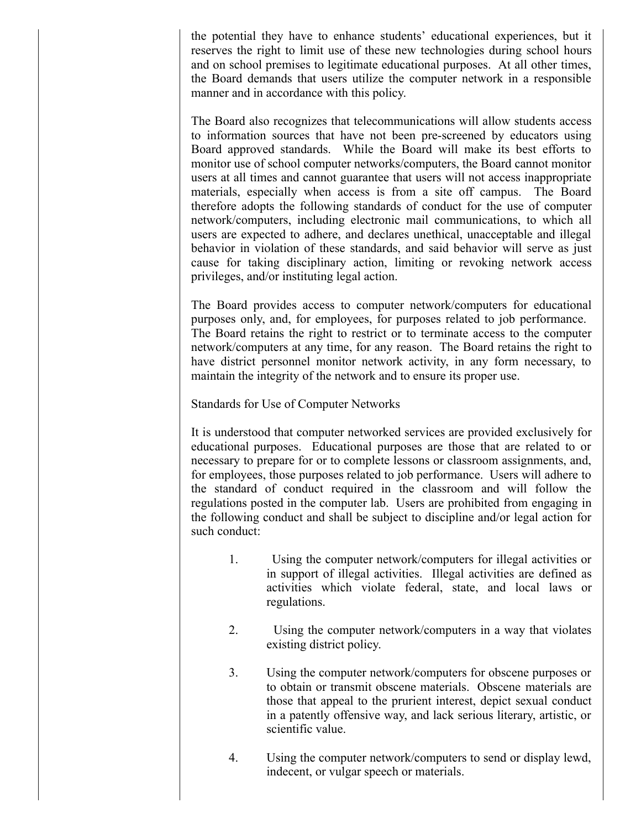the potential they have to enhance students' educational experiences, but it reserves the right to limit use of these new technologies during school hours and on school premises to legitimate educational purposes. At all other times, the Board demands that users utilize the computer network in a responsible manner and in accordance with this policy.

The Board also recognizes that telecommunications will allow students access to information sources that have not been pre-screened by educators using Board approved standards. While the Board will make its best efforts to monitor use of school computer networks/computers, the Board cannot monitor users at all times and cannot guarantee that users will not access inappropriate materials, especially when access is from a site off campus. The Board therefore adopts the following standards of conduct for the use of computer network/computers, including electronic mail communications, to which all users are expected to adhere, and declares unethical, unacceptable and illegal behavior in violation of these standards, and said behavior will serve as just cause for taking disciplinary action, limiting or revoking network access privileges, and/or instituting legal action.

The Board provides access to computer network/computers for educational purposes only, and, for employees, for purposes related to job performance. The Board retains the right to restrict or to terminate access to the computer network/computers at any time, for any reason. The Board retains the right to have district personnel monitor network activity, in any form necessary, to maintain the integrity of the network and to ensure its proper use.

Standards for Use of Computer Networks

It is understood that computer networked services are provided exclusively for educational purposes. Educational purposes are those that are related to or necessary to prepare for or to complete lessons or classroom assignments, and, for employees, those purposes related to job performance. Users will adhere to the standard of conduct required in the classroom and will follow the regulations posted in the computer lab. Users are prohibited from engaging in the following conduct and shall be subject to discipline and/or legal action for such conduct:

- 1. Using the computer network/computers for illegal activities or in support of illegal activities. Illegal activities are defined as activities which violate federal, state, and local laws or regulations.
- 2. Using the computer network/computers in a way that violates existing district policy.
- 3. Using the computer network/computers for obscene purposes or to obtain or transmit obscene materials. Obscene materials are those that appeal to the prurient interest, depict sexual conduct in a patently offensive way, and lack serious literary, artistic, or scientific value.
- 4. Using the computer network/computers to send or display lewd, indecent, or vulgar speech or materials.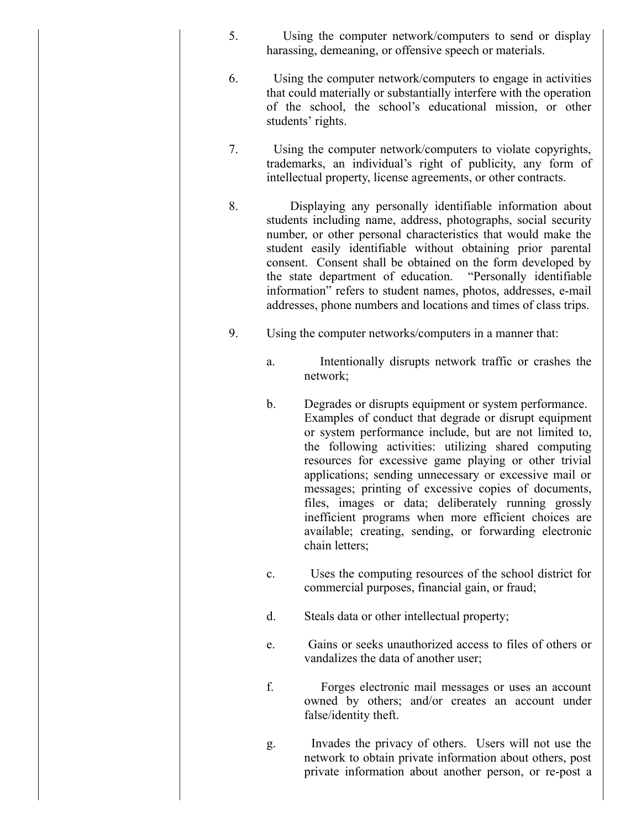- 5. Using the computer network/computers to send or display harassing, demeaning, or offensive speech or materials.
- 6. Using the computer network/computers to engage in activities that could materially or substantially interfere with the operation of the school, the school's educational mission, or other students' rights.
- 7. Using the computer network/computers to violate copyrights, trademarks, an individual's right of publicity, any form of intellectual property, license agreements, or other contracts.
- 8. Displaying any personally identifiable information about students including name, address, photographs, social security number, or other personal characteristics that would make the student easily identifiable without obtaining prior parental consent. Consent shall be obtained on the form developed by the state department of education. "Personally identifiable information" refers to student names, photos, addresses, e-mail addresses, phone numbers and locations and times of class trips.
- 9. Using the computer networks/computers in a manner that:
	- a. Intentionally disrupts network traffic or crashes the network;
	- b. Degrades or disrupts equipment or system performance. Examples of conduct that degrade or disrupt equipment or system performance include, but are not limited to, the following activities: utilizing shared computing resources for excessive game playing or other trivial applications; sending unnecessary or excessive mail or messages; printing of excessive copies of documents, files, images or data; deliberately running grossly inefficient programs when more efficient choices are available; creating, sending, or forwarding electronic chain letters;
	- c. Uses the computing resources of the school district for commercial purposes, financial gain, or fraud;
	- d. Steals data or other intellectual property;
	- e. Gains or seeks unauthorized access to files of others or vandalizes the data of another user;
	- f. Forges electronic mail messages or uses an account owned by others; and/or creates an account under false/identity theft.
	- g. Invades the privacy of others. Users will not use the network to obtain private information about others, post private information about another person, or re-post a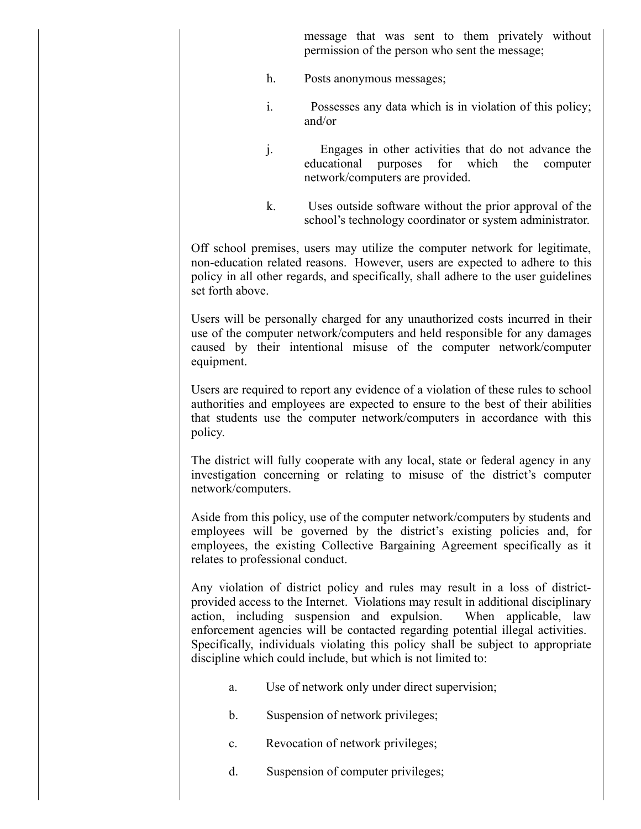message that was sent to them privately without permission of the person who sent the message;

- h. Posts anonymous messages;
- i. Possesses any data which is in violation of this policy; and/or
- j. Engages in other activities that do not advance the educational purposes for which the computer network/computers are provided.
- k. Uses outside software without the prior approval of the school's technology coordinator or system administrator.

Off school premises, users may utilize the computer network for legitimate, non-education related reasons. However, users are expected to adhere to this policy in all other regards, and specifically, shall adhere to the user guidelines set forth above.

Users will be personally charged for any unauthorized costs incurred in their use of the computer network/computers and held responsible for any damages caused by their intentional misuse of the computer network/computer equipment.

Users are required to report any evidence of a violation of these rules to school authorities and employees are expected to ensure to the best of their abilities that students use the computer network/computers in accordance with this policy.

The district will fully cooperate with any local, state or federal agency in any investigation concerning or relating to misuse of the district's computer network/computers.

Aside from this policy, use of the computer network/computers by students and employees will be governed by the district's existing policies and, for employees, the existing Collective Bargaining Agreement specifically as it relates to professional conduct.

Any violation of district policy and rules may result in a loss of districtprovided access to the Internet. Violations may result in additional disciplinary action, including suspension and expulsion. When applicable, law enforcement agencies will be contacted regarding potential illegal activities. Specifically, individuals violating this policy shall be subject to appropriate discipline which could include, but which is not limited to:

- a. Use of network only under direct supervision;
- b. Suspension of network privileges;
- c. Revocation of network privileges;
- d. Suspension of computer privileges;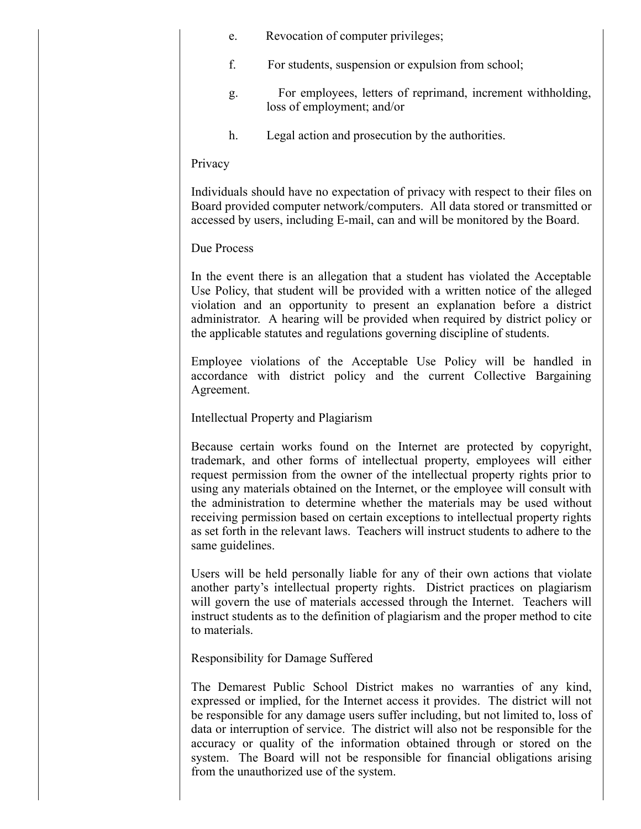- e. Revocation of computer privileges;
- f. For students, suspension or expulsion from school;
- g. For employees, letters of reprimand, increment withholding, loss of employment; and/or
- h. Legal action and prosecution by the authorities.

#### Privacy

Individuals should have no expectation of privacy with respect to their files on Board provided computer network/computers. All data stored or transmitted or accessed by users, including E-mail, can and will be monitored by the Board.

## Due Process

In the event there is an allegation that a student has violated the Acceptable Use Policy, that student will be provided with a written notice of the alleged violation and an opportunity to present an explanation before a district administrator. A hearing will be provided when required by district policy or the applicable statutes and regulations governing discipline of students.

Employee violations of the Acceptable Use Policy will be handled in accordance with district policy and the current Collective Bargaining Agreement.

Intellectual Property and Plagiarism

Because certain works found on the Internet are protected by copyright, trademark, and other forms of intellectual property, employees will either request permission from the owner of the intellectual property rights prior to using any materials obtained on the Internet, or the employee will consult with the administration to determine whether the materials may be used without receiving permission based on certain exceptions to intellectual property rights as set forth in the relevant laws. Teachers will instruct students to adhere to the same guidelines.

Users will be held personally liable for any of their own actions that violate another party's intellectual property rights. District practices on plagiarism will govern the use of materials accessed through the Internet. Teachers will instruct students as to the definition of plagiarism and the proper method to cite to materials.

Responsibility for Damage Suffered

The Demarest Public School District makes no warranties of any kind, expressed or implied, for the Internet access it provides. The district will not be responsible for any damage users suffer including, but not limited to, loss of data or interruption of service. The district will also not be responsible for the accuracy or quality of the information obtained through or stored on the system. The Board will not be responsible for financial obligations arising from the unauthorized use of the system.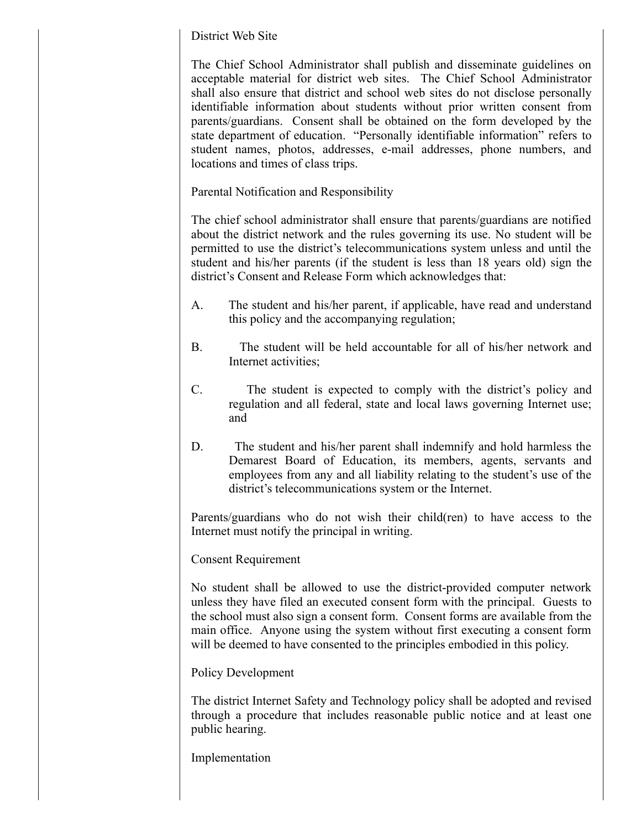# District Web Site

The Chief School Administrator shall publish and disseminate guidelines on acceptable material for district web sites. The Chief School Administrator shall also ensure that district and school web sites do not disclose personally identifiable information about students without prior written consent from parents/guardians. Consent shall be obtained on the form developed by the state department of education. "Personally identifiable information" refers to student names, photos, addresses, e-mail addresses, phone numbers, and locations and times of class trips.

Parental Notification and Responsibility

The chief school administrator shall ensure that parents/guardians are notified about the district network and the rules governing its use. No student will be permitted to use the district's telecommunications system unless and until the student and his/her parents (if the student is less than 18 years old) sign the district's Consent and Release Form which acknowledges that:

- A. The student and his/her parent, if applicable, have read and understand this policy and the accompanying regulation;
- B. The student will be held accountable for all of his/her network and Internet activities;
- C. The student is expected to comply with the district's policy and regulation and all federal, state and local laws governing Internet use; and
- D. The student and his/her parent shall indemnify and hold harmless the Demarest Board of Education, its members, agents, servants and employees from any and all liability relating to the student's use of the district's telecommunications system or the Internet.

Parents/guardians who do not wish their child(ren) to have access to the Internet must notify the principal in writing.

# Consent Requirement

No student shall be allowed to use the district-provided computer network unless they have filed an executed consent form with the principal. Guests to the school must also sign a consent form. Consent forms are available from the main office. Anyone using the system without first executing a consent form will be deemed to have consented to the principles embodied in this policy.

## Policy Development

The district Internet Safety and Technology policy shall be adopted and revised through a procedure that includes reasonable public notice and at least one public hearing.

Implementation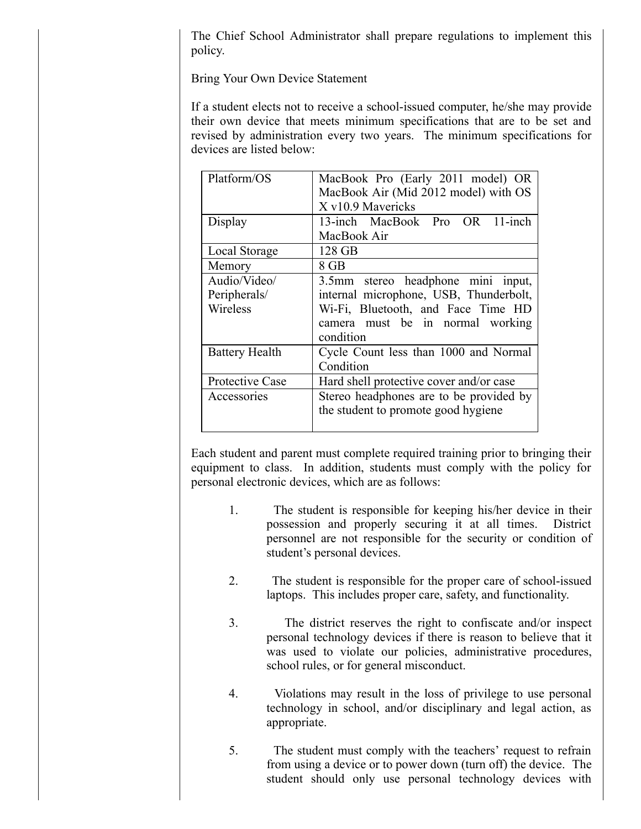The Chief School Administrator shall prepare regulations to implement this policy.

Bring Your Own Device Statement

If a student elects not to receive a school-issued computer, he/she may provide their own device that meets minimum specifications that are to be set and revised by administration every two years. The minimum specifications for devices are listed below:

| Platform/OS           | MacBook Pro (Early 2011 model) OR       |  |  |
|-----------------------|-----------------------------------------|--|--|
|                       | MacBook Air (Mid 2012 model) with OS    |  |  |
|                       | X v10.9 Mavericks                       |  |  |
| Display               | 13-inch MacBook Pro OR 11-inch          |  |  |
|                       | MacBook Air                             |  |  |
| Local Storage         | 128 GB                                  |  |  |
| Memory                | 8 GB                                    |  |  |
| Audio/Video/          | 3.5mm stereo headphone mini input,      |  |  |
| Peripherals/          | internal microphone, USB, Thunderbolt,  |  |  |
| Wireless              | Wi-Fi, Bluetooth, and Face Time HD      |  |  |
|                       | camera must be in normal working        |  |  |
|                       | condition                               |  |  |
| <b>Battery Health</b> | Cycle Count less than 1000 and Normal   |  |  |
|                       | Condition                               |  |  |
| Protective Case       | Hard shell protective cover and/or case |  |  |
| Accessories           | Stereo headphones are to be provided by |  |  |
|                       | the student to promote good hygiene     |  |  |
|                       |                                         |  |  |

Each student and parent must complete required training prior to bringing their equipment to class. In addition, students must comply with the policy for personal electronic devices, which are as follows:

- 1. The student is responsible for keeping his/her device in their possession and properly securing it at all times. District personnel are not responsible for the security or condition of student's personal devices.
- 2. The student is responsible for the proper care of school-issued laptops. This includes proper care, safety, and functionality.
- 3. The district reserves the right to confiscate and/or inspect personal technology devices if there is reason to believe that it was used to violate our policies, administrative procedures, school rules, or for general misconduct.
- 4. Violations may result in the loss of privilege to use personal technology in school, and/or disciplinary and legal action, as appropriate.
- 5. The student must comply with the teachers' request to refrain from using a device or to power down (turn off) the device. The student should only use personal technology devices with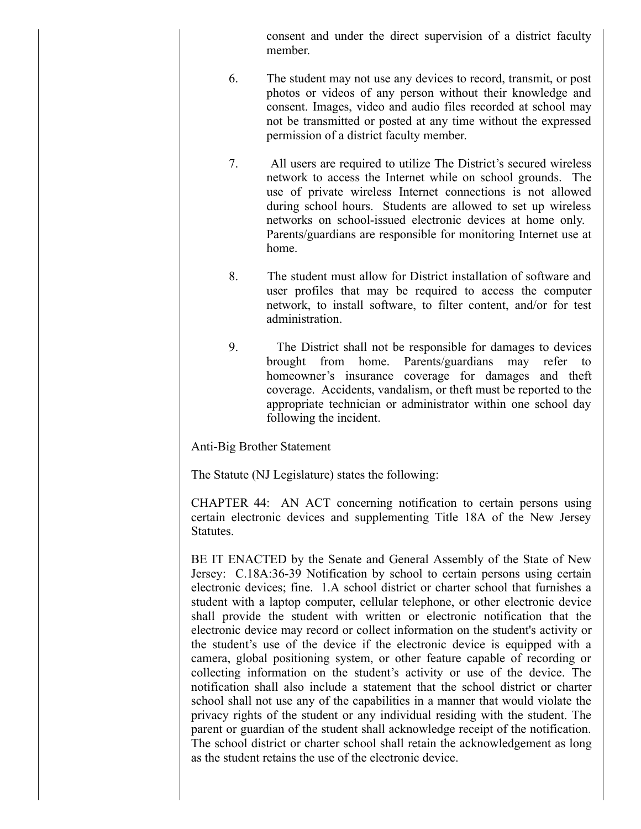consent and under the direct supervision of a district faculty member.

- 6. The student may not use any devices to record, transmit, or post photos or videos of any person without their knowledge and consent. Images, video and audio files recorded at school may not be transmitted or posted at any time without the expressed permission of a district faculty member.
- 7. All users are required to utilize The District's secured wireless network to access the Internet while on school grounds. The use of private wireless Internet connections is not allowed during school hours. Students are allowed to set up wireless networks on school-issued electronic devices at home only. Parents/guardians are responsible for monitoring Internet use at home.
- 8. The student must allow for District installation of software and user profiles that may be required to access the computer network, to install software, to filter content, and/or for test administration.
- 9. The District shall not be responsible for damages to devices brought from home. Parents/guardians may refer to homeowner's insurance coverage for damages and theft coverage. Accidents, vandalism, or theft must be reported to the appropriate technician or administrator within one school day following the incident.

Anti-Big Brother Statement

The Statute (NJ Legislature) states the following:

CHAPTER 44: AN ACT concerning notification to certain persons using certain electronic devices and supplementing Title 18A of the New Jersey Statutes.

BE IT ENACTED by the Senate and General Assembly of the State of New Jersey: C.18A:36-39 Notification by school to certain persons using certain electronic devices; fine. 1.A school district or charter school that furnishes a student with a laptop computer, cellular telephone, or other electronic device shall provide the student with written or electronic notification that the electronic device may record or collect information on the student's activity or the student's use of the device if the electronic device is equipped with a camera, global positioning system, or other feature capable of recording or collecting information on the student's activity or use of the device. The notification shall also include a statement that the school district or charter school shall not use any of the capabilities in a manner that would violate the privacy rights of the student or any individual residing with the student. The parent or guardian of the student shall acknowledge receipt of the notification. The school district or charter school shall retain the acknowledgement as long as the student retains the use of the electronic device.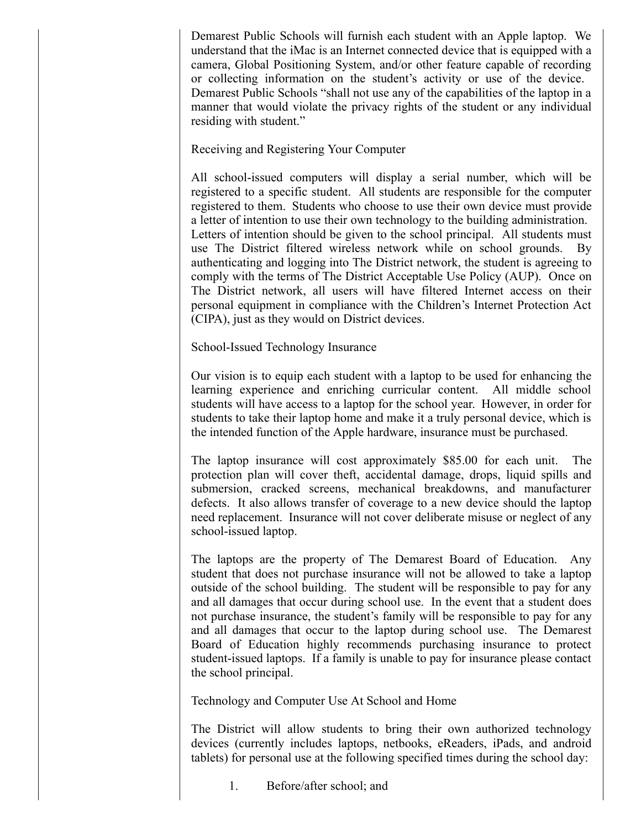Demarest Public Schools will furnish each student with an Apple laptop. We understand that the iMac is an Internet connected device that is equipped with a camera, Global Positioning System, and/or other feature capable of recording or collecting information on the student's activity or use of the device. Demarest Public Schools "shall not use any of the capabilities of the laptop in a manner that would violate the privacy rights of the student or any individual residing with student."

# Receiving and Registering Your Computer

All school-issued computers will display a serial number, which will be registered to a specific student. All students are responsible for the computer registered to them. Students who choose to use their own device must provide a letter of intention to use their own technology to the building administration. Letters of intention should be given to the school principal. All students must use The District filtered wireless network while on school grounds. By authenticating and logging into The District network, the student is agreeing to comply with the terms of The District Acceptable Use Policy (AUP). Once on The District network, all users will have filtered Internet access on their personal equipment in compliance with the Children's Internet Protection Act (CIPA), just as they would on District devices.

School-Issued Technology Insurance

Our vision is to equip each student with a laptop to be used for enhancing the learning experience and enriching curricular content. All middle school students will have access to a laptop for the school year. However, in order for students to take their laptop home and make it a truly personal device, which is the intended function of the Apple hardware, insurance must be purchased.

The laptop insurance will cost approximately \$85.00 for each unit. The protection plan will cover theft, accidental damage, drops, liquid spills and submersion, cracked screens, mechanical breakdowns, and manufacturer defects. It also allows transfer of coverage to a new device should the laptop need replacement. Insurance will not cover deliberate misuse or neglect of any school-issued laptop.

The laptops are the property of The Demarest Board of Education. Any student that does not purchase insurance will not be allowed to take a laptop outside of the school building. The student will be responsible to pay for any and all damages that occur during school use. In the event that a student does not purchase insurance, the student's family will be responsible to pay for any and all damages that occur to the laptop during school use. The Demarest Board of Education highly recommends purchasing insurance to protect student-issued laptops. If a family is unable to pay for insurance please contact the school principal.

Technology and Computer Use At School and Home

The District will allow students to bring their own authorized technology devices (currently includes laptops, netbooks, eReaders, iPads, and android tablets) for personal use at the following specified times during the school day:

1. Before/after school; and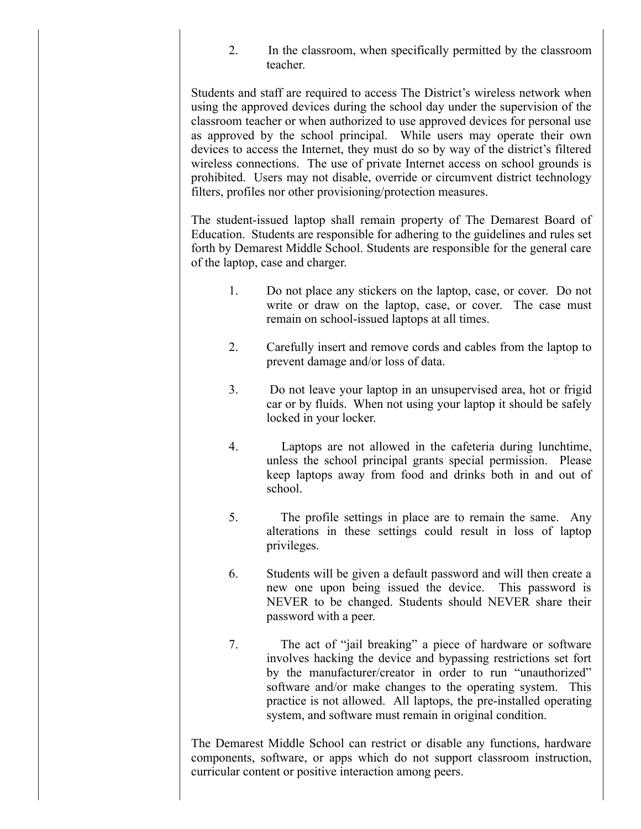2. In the classroom, when specifically permitted by the classroom teacher.

Students and staff are required to access The District's wireless network when using the approved devices during the school day under the supervision of the classroom teacher or when authorized to use approved devices for personal use as approved by the school principal. While users may operate their own devices to access the Internet, they must do so by way of the district's filtered wireless connections. The use of private Internet access on school grounds is prohibited. Users may not disable, override or circumvent district technology filters, profiles nor other provisioning/protection measures.

The student-issued laptop shall remain property of The Demarest Board of Education. Students are responsible for adhering to the guidelines and rules set forth by Demarest Middle School. Students are responsible for the general care of the laptop, case and charger.

- 1. Do not place any stickers on the laptop, case, or cover. Do not write or draw on the laptop, case, or cover. The case must remain on school-issued laptops at all times.
- 2. Carefully insert and remove cords and cables from the laptop to prevent damage and/or loss of data.
- 3. Do not leave your laptop in an unsupervised area, hot or frigid car or by fluids. When not using your laptop it should be safely locked in your locker.
- 4. Laptops are not allowed in the cafeteria during lunchtime, unless the school principal grants special permission. Please keep laptops away from food and drinks both in and out of school.
- 5. The profile settings in place are to remain the same. Any alterations in these settings could result in loss of laptop privileges.
- 6. Students will be given a default password and will then create a new one upon being issued the device. This password is NEVER to be changed. Students should NEVER share their password with a peer.
- 7. The act of "jail breaking" a piece of hardware or software involves hacking the device and bypassing restrictions set fort by the manufacturer/creator in order to run "unauthorized" software and/or make changes to the operating system. This practice is not allowed. All laptops, the pre-installed operating system, and software must remain in original condition.

The Demarest Middle School can restrict or disable any functions, hardware components, software, or apps which do not support classroom instruction, curricular content or positive interaction among peers.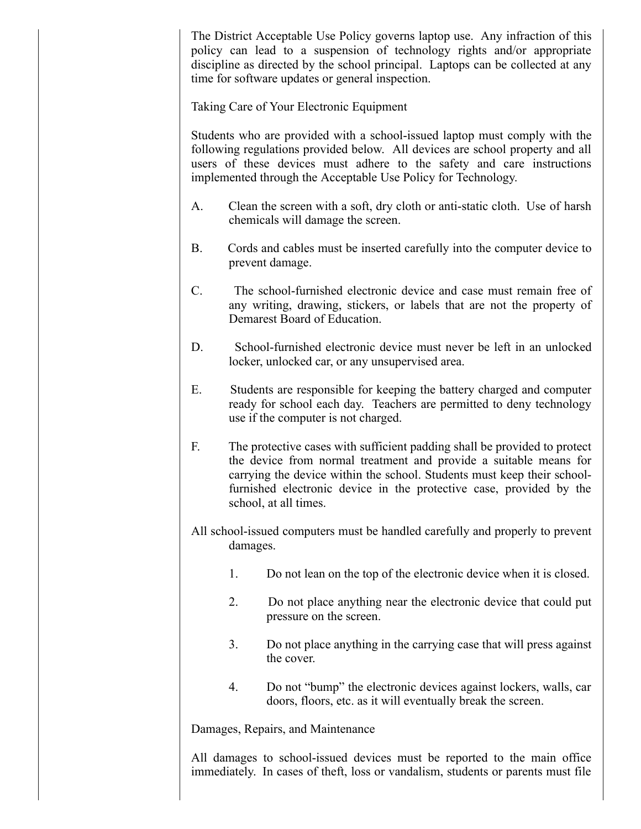The District Acceptable Use Policy governs laptop use. Any infraction of this policy can lead to a suspension of technology rights and/or appropriate discipline as directed by the school principal. Laptops can be collected at any time for software updates or general inspection.

Taking Care of Your Electronic Equipment

Students who are provided with a school-issued laptop must comply with the following regulations provided below. All devices are school property and all users of these devices must adhere to the safety and care instructions implemented through the Acceptable Use Policy for Technology.

- A. Clean the screen with a soft, dry cloth or anti-static cloth. Use of harsh chemicals will damage the screen.
- B. Cords and cables must be inserted carefully into the computer device to prevent damage.
- C. The school-furnished electronic device and case must remain free of any writing, drawing, stickers, or labels that are not the property of Demarest Board of Education.
- D. School-furnished electronic device must never be left in an unlocked locker, unlocked car, or any unsupervised area.
- E. Students are responsible for keeping the battery charged and computer ready for school each day. Teachers are permitted to deny technology use if the computer is not charged.
- F. The protective cases with sufficient padding shall be provided to protect the device from normal treatment and provide a suitable means for carrying the device within the school. Students must keep their schoolfurnished electronic device in the protective case, provided by the school, at all times.
- All school-issued computers must be handled carefully and properly to prevent damages.
	- 1. Do not lean on the top of the electronic device when it is closed.
	- 2. Do not place anything near the electronic device that could put pressure on the screen.
	- 3. Do not place anything in the carrying case that will press against the cover.
	- 4. Do not "bump" the electronic devices against lockers, walls, car doors, floors, etc. as it will eventually break the screen.

Damages, Repairs, and Maintenance

All damages to school-issued devices must be reported to the main office immediately. In cases of theft, loss or vandalism, students or parents must file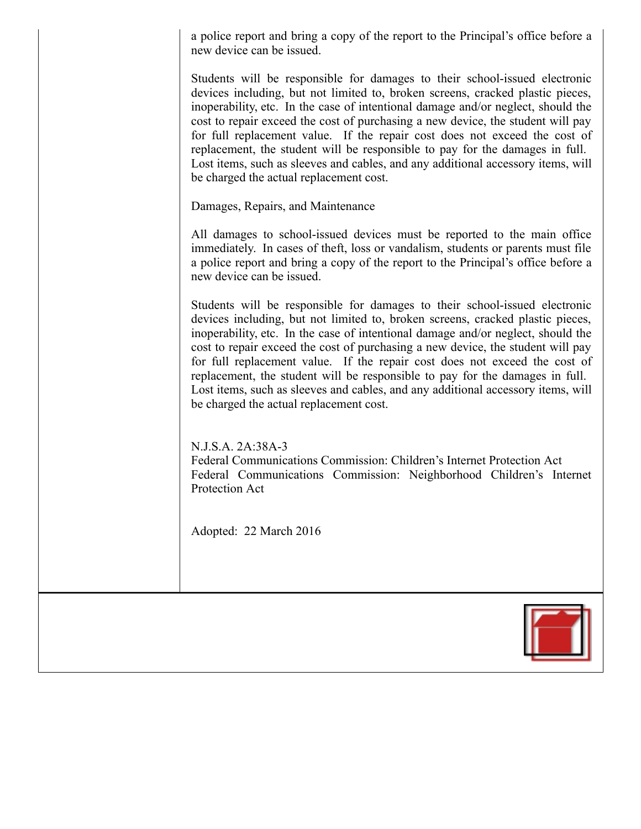a police report and bring a copy of the report to the Principal's office before a new device can be issued.

Students will be responsible for damages to their school-issued electronic devices including, but not limited to, broken screens, cracked plastic pieces, inoperability, etc. In the case of intentional damage and/or neglect, should the cost to repair exceed the cost of purchasing a new device, the student will pay for full replacement value. If the repair cost does not exceed the cost of replacement, the student will be responsible to pay for the damages in full. Lost items, such as sleeves and cables, and any additional accessory items, will be charged the actual replacement cost.

Damages, Repairs, and Maintenance

All damages to school-issued devices must be reported to the main office immediately. In cases of theft, loss or vandalism, students or parents must file a police report and bring a copy of the report to the Principal's office before a new device can be issued.

Students will be responsible for damages to their school-issued electronic devices including, but not limited to, broken screens, cracked plastic pieces, inoperability, etc. In the case of intentional damage and/or neglect, should the cost to repair exceed the cost of purchasing a new device, the student will pay for full replacement value. If the repair cost does not exceed the cost of replacement, the student will be responsible to pay for the damages in full. Lost items, such as sleeves and cables, and any additional accessory items, will be charged the actual replacement cost.

N.J.S.A. 2A:38A-3

Federal Communications Commission: Children's Internet Protection Act Federal Communications Commission: Neighborhood Children's Internet Protection Act

Adopted: 22 March 2016

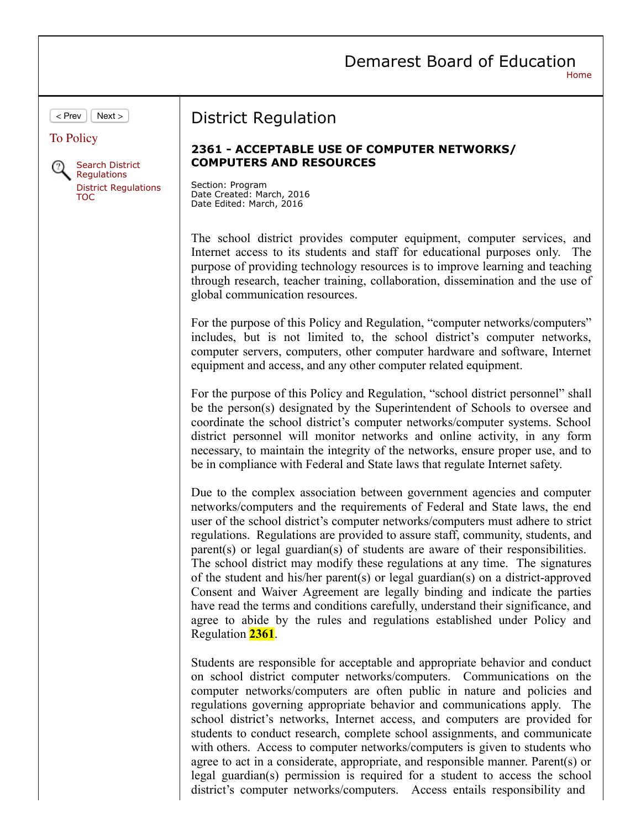|                                                                                                                          | Demarest Board of Education<br>Home                                                                                                                                                                                                                                                                                                                                                                                                                                                                                                                                                                                                                                                                                                                                                                                                                 |
|--------------------------------------------------------------------------------------------------------------------------|-----------------------------------------------------------------------------------------------------------------------------------------------------------------------------------------------------------------------------------------------------------------------------------------------------------------------------------------------------------------------------------------------------------------------------------------------------------------------------------------------------------------------------------------------------------------------------------------------------------------------------------------------------------------------------------------------------------------------------------------------------------------------------------------------------------------------------------------------------|
| Next<br>< Prev<br><b>To Policy</b><br>Search District<br><b>Requlations</b><br><b>District Regulations</b><br><b>TOC</b> | <b>District Regulation</b><br>2361 - ACCEPTABLE USE OF COMPUTER NETWORKS/<br><b>COMPUTERS AND RESOURCES</b>                                                                                                                                                                                                                                                                                                                                                                                                                                                                                                                                                                                                                                                                                                                                         |
|                                                                                                                          | Section: Program<br>Date Created: March, 2016<br>Date Edited: March, 2016<br>The school district provides computer equipment, computer services, and<br>Internet access to its students and staff for educational purposes only.<br>The                                                                                                                                                                                                                                                                                                                                                                                                                                                                                                                                                                                                             |
|                                                                                                                          | purpose of providing technology resources is to improve learning and teaching<br>through research, teacher training, collaboration, dissemination and the use of<br>global communication resources.<br>For the purpose of this Policy and Regulation, "computer networks/computers"                                                                                                                                                                                                                                                                                                                                                                                                                                                                                                                                                                 |
|                                                                                                                          | includes, but is not limited to, the school district's computer networks,<br>computer servers, computers, other computer hardware and software, Internet<br>equipment and access, and any other computer related equipment.<br>For the purpose of this Policy and Regulation, "school district personnel" shall                                                                                                                                                                                                                                                                                                                                                                                                                                                                                                                                     |
|                                                                                                                          | be the person(s) designated by the Superintendent of Schools to oversee and<br>coordinate the school district's computer networks/computer systems. School<br>district personnel will monitor networks and online activity, in any form<br>necessary, to maintain the integrity of the networks, ensure proper use, and to<br>be in compliance with Federal and State laws that regulate Internet safety.                                                                                                                                                                                                                                                                                                                                                                                                                                           |
|                                                                                                                          | Due to the complex association between government agencies and computer<br>networks/computers and the requirements of Federal and State laws, the end<br>user of the school district's computer networks/computers must adhere to strict<br>regulations. Regulations are provided to assure staff, community, students, and<br>parent(s) or legal guardian(s) of students are aware of their responsibilities.<br>The school district may modify these regulations at any time. The signatures<br>of the student and his/her parent(s) or legal guardian(s) on a district-approved<br>Consent and Waiver Agreement are legally binding and indicate the parties<br>have read the terms and conditions carefully, understand their significance, and<br>agree to abide by the rules and regulations established under Policy and<br>Regulation 2361. |
|                                                                                                                          | Students are responsible for acceptable and appropriate behavior and conduct<br>on school district computer networks/computers. Communications on the<br>computer networks/computers are often public in nature and policies and<br>regulations governing appropriate behavior and communications apply. The<br>school district's networks, Internet access, and computers are provided for<br>students to conduct research, complete school assignments, and communicate<br>with others. Access to computer networks/computers is given to students who<br>agree to act in a considerate, appropriate, and responsible manner. Parent(s) or<br>legal guardian(s) permission is required for a student to access the school<br>district's computer networks/computers. Access entails responsibility and                                            |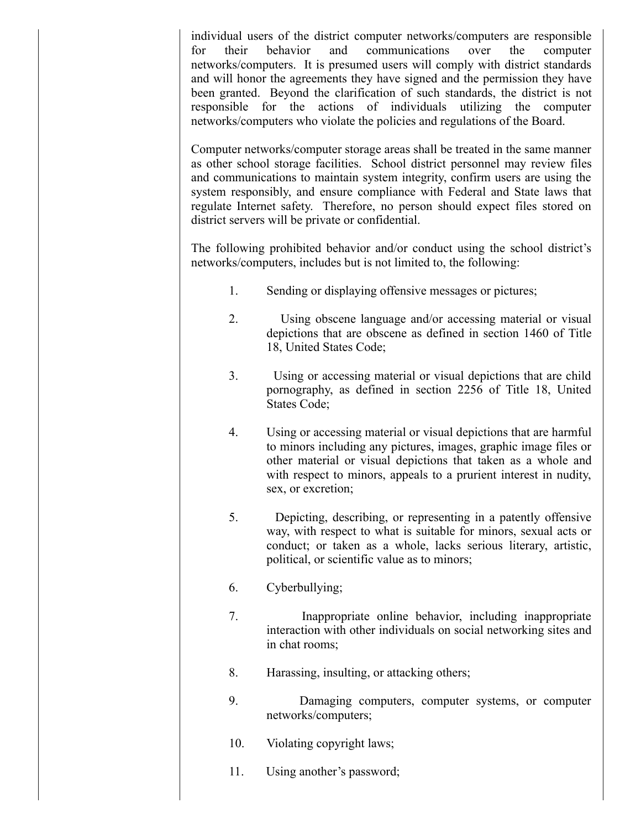individual users of the district computer networks/computers are responsible for their behavior and communications over the computer networks/computers. It is presumed users will comply with district standards and will honor the agreements they have signed and the permission they have been granted. Beyond the clarification of such standards, the district is not responsible for the actions of individuals utilizing the computer networks/computers who violate the policies and regulations of the Board.

Computer networks/computer storage areas shall be treated in the same manner as other school storage facilities. School district personnel may review files and communications to maintain system integrity, confirm users are using the system responsibly, and ensure compliance with Federal and State laws that regulate Internet safety. Therefore, no person should expect files stored on district servers will be private or confidential.

The following prohibited behavior and/or conduct using the school district's networks/computers, includes but is not limited to, the following:

- 1. Sending or displaying offensive messages or pictures;
- 2. Using obscene language and/or accessing material or visual depictions that are obscene as defined in section 1460 of Title 18, United States Code;
- 3. Using or accessing material or visual depictions that are child pornography, as defined in section 2256 of Title 18, United States Code;
- 4. Using or accessing material or visual depictions that are harmful to minors including any pictures, images, graphic image files or other material or visual depictions that taken as a whole and with respect to minors, appeals to a prurient interest in nudity, sex, or excretion;
- 5. Depicting, describing, or representing in a patently offensive way, with respect to what is suitable for minors, sexual acts or conduct; or taken as a whole, lacks serious literary, artistic, political, or scientific value as to minors;
- 6. Cyberbullying;
- 7. Inappropriate online behavior, including inappropriate interaction with other individuals on social networking sites and in chat rooms;
- 8. Harassing, insulting, or attacking others;
- 9. Damaging computers, computer systems, or computer networks/computers;
- 10. Violating copyright laws;
- 11. Using another's password;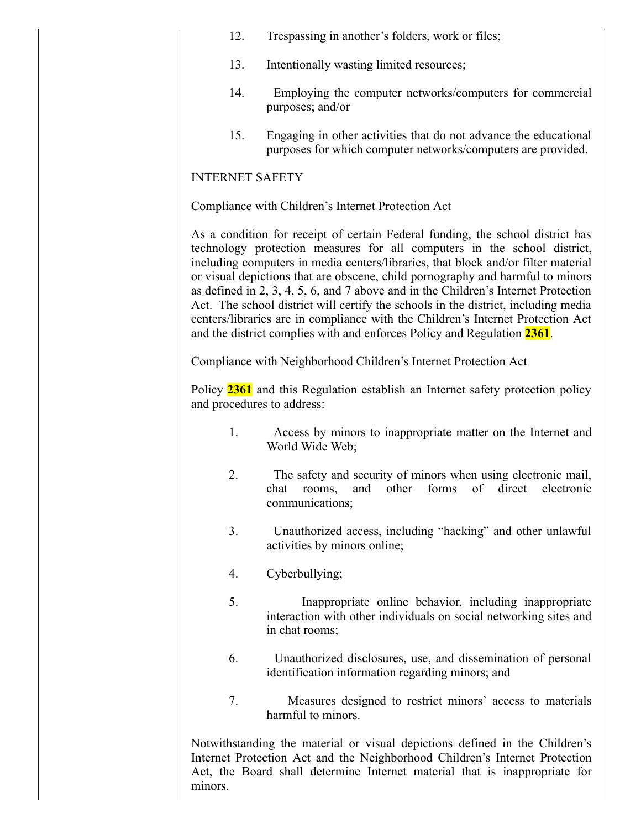- 12. Trespassing in another's folders, work or files;
- 13. Intentionally wasting limited resources;
- 14. Employing the computer networks/computers for commercial purposes; and/or
- 15. Engaging in other activities that do not advance the educational purposes for which computer networks/computers are provided.

# **INTERNET SAFETY**

Compliance with Children's Internet Protection Act

As a condition for receipt of certain Federal funding, the school district has technology protection measures for all computers in the school district, including computers in media centers/libraries, that block and/or filter material or visual depictions that are obscene, child pornography and harmful to minors as defined in 2, 3, 4, 5, 6, and 7 above and in the Children's Internet Protection Act. The school district will certify the schools in the district, including media centers/libraries are in compliance with the Children's Internet Protection Act and the district complies with and enforces Policy and Regulation **2361**.

Compliance with Neighborhood Children's Internet Protection Act

Policy **2361** and this Regulation establish an Internet safety protection policy and procedures to address:

- 1. Access by minors to inappropriate matter on the Internet and World Wide Web;
- 2. The safety and security of minors when using electronic mail, chat rooms, and other forms of direct electronic communications;
- 3. Unauthorized access, including "hacking" and other unlawful activities by minors online;
- 4. Cyberbullying;
- 5. Inappropriate online behavior, including inappropriate interaction with other individuals on social networking sites and in chat rooms;
- 6. Unauthorized disclosures, use, and dissemination of personal identification information regarding minors; and
- 7. Measures designed to restrict minors' access to materials harmful to minors.

Notwithstanding the material or visual depictions defined in the Children's Internet Protection Act and the Neighborhood Children's Internet Protection Act, the Board shall determine Internet material that is inappropriate for minors.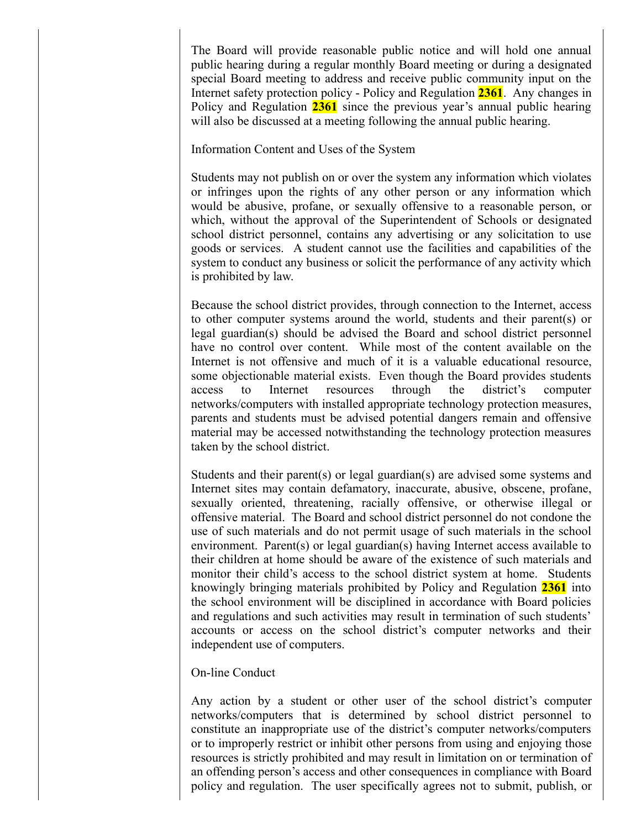The Board will provide reasonable public notice and will hold one annual public hearing during a regular monthly Board meeting or during a designated special Board meeting to address and receive public community input on the Internet safety protection policy - Policy and Regulation **2361**. Any changes in Policy and Regulation **2361** since the previous year's annual public hearing will also be discussed at a meeting following the annual public hearing.

#### Information Content and Uses of the System

Students may not publish on or over the system any information which violates or infringes upon the rights of any other person or any information which would be abusive, profane, or sexually offensive to a reasonable person, or which, without the approval of the Superintendent of Schools or designated school district personnel, contains any advertising or any solicitation to use goods or services. A student cannot use the facilities and capabilities of the system to conduct any business or solicit the performance of any activity which is prohibited by law.

Because the school district provides, through connection to the Internet, access to other computer systems around the world, students and their parent(s) or legal guardian(s) should be advised the Board and school district personnel have no control over content. While most of the content available on the Internet is not offensive and much of it is a valuable educational resource, some objectionable material exists. Even though the Board provides students access to Internet resources through the district's computer networks/computers with installed appropriate technology protection measures, parents and students must be advised potential dangers remain and offensive material may be accessed notwithstanding the technology protection measures taken by the school district.

Students and their parent(s) or legal guardian(s) are advised some systems and Internet sites may contain defamatory, inaccurate, abusive, obscene, profane, sexually oriented, threatening, racially offensive, or otherwise illegal or offensive material. The Board and school district personnel do not condone the use of such materials and do not permit usage of such materials in the school environment. Parent(s) or legal guardian(s) having Internet access available to their children at home should be aware of the existence of such materials and monitor their child's access to the school district system at home. Students knowingly bringing materials prohibited by Policy and Regulation **2361** into the school environment will be disciplined in accordance with Board policies and regulations and such activities may result in termination of such students' accounts or access on the school district's computer networks and their independent use of computers.

## On-line Conduct

Any action by a student or other user of the school district's computer networks/computers that is determined by school district personnel to constitute an inappropriate use of the district's computer networks/computers or to improperly restrict or inhibit other persons from using and enjoying those resources is strictly prohibited and may result in limitation on or termination of an offending person's access and other consequences in compliance with Board policy and regulation. The user specifically agrees not to submit, publish, or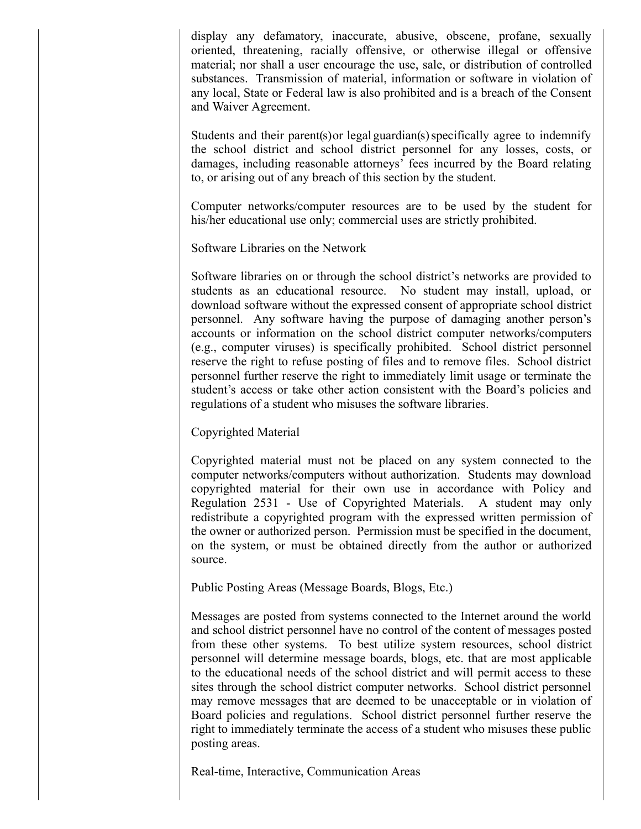display any defamatory, inaccurate, abusive, obscene, profane, sexually oriented, threatening, racially offensive, or otherwise illegal or offensive material; nor shall a user encourage the use, sale, or distribution of controlled substances. Transmission of material, information or software in violation of any local, State or Federal law is also prohibited and is a breach of the Consent and Waiver Agreement.

Students and their parent(s) or legal guardian(s) specifically agree to indemnify the school district and school district personnel for any losses, costs, or damages, including reasonable attorneys' fees incurred by the Board relating to, or arising out of any breach of this section by the student.

Computer networks/computer resources are to be used by the student for his/her educational use only; commercial uses are strictly prohibited.

Software Libraries on the Network

Software libraries on or through the school district's networks are provided to students as an educational resource. No student may install, upload, or download software without the expressed consent of appropriate school district personnel. Any software having the purpose of damaging another person's accounts or information on the school district computer networks/computers (e.g., computer viruses) is specifically prohibited. School district personnel reserve the right to refuse posting of files and to remove files. School district personnel further reserve the right to immediately limit usage or terminate the student's access or take other action consistent with the Board's policies and regulations of a student who misuses the software libraries.

Copyrighted Material

Copyrighted material must not be placed on any system connected to the computer networks/computers without authorization. Students may download copyrighted material for their own use in accordance with Policy and Regulation  $2531$  - Use of Copyrighted Materials. A student may only redistribute a copyrighted program with the expressed written permission of the owner or authorized person. Permission must be specified in the document, on the system, or must be obtained directly from the author or authorized source.

Public Posting Areas (Message Boards, Blogs, Etc.)

Messages are posted from systems connected to the Internet around the world and school district personnel have no control of the content of messages posted from these other systems. To best utilize system resources, school district personnel will determine message boards, blogs, etc. that are most applicable to the educational needs of the school district and will permit access to these sites through the school district computer networks. School district personnel may remove messages that are deemed to be unacceptable or in violation of Board policies and regulations. School district personnel further reserve the right to immediately terminate the access of a student who misuses these public posting areas.

Real-time, Interactive, Communication Areas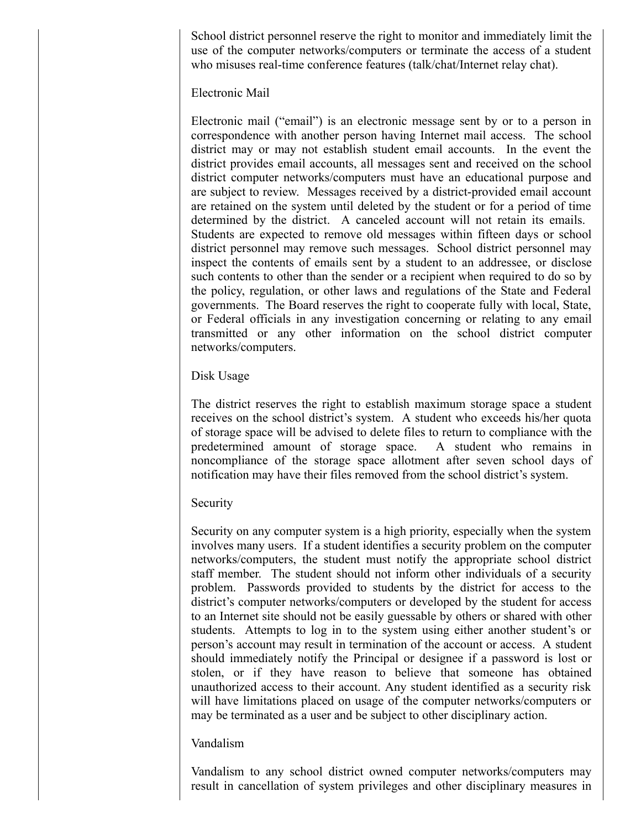School district personnel reserve the right to monitor and immediately limit the use of the computer networks/computers or terminate the access of a student who misuses real-time conference features (talk/chat/Internet relay chat).

## Electronic Mail

Electronic mail ("email") is an electronic message sent by or to a person in correspondence with another person having Internet mail access. The school district may or may not establish student email accounts. In the event the district provides email accounts, all messages sent and received on the school district computer networks/computers must have an educational purpose and are subject to review. Messages received by a district-provided email account are retained on the system until deleted by the student or for a period of time determined by the district. A canceled account will not retain its emails. Students are expected to remove old messages within fifteen days or school district personnel may remove such messages. School district personnel may inspect the contents of emails sent by a student to an addressee, or disclose such contents to other than the sender or a recipient when required to do so by the policy, regulation, or other laws and regulations of the State and Federal governments. The Board reserves the right to cooperate fully with local, State, or Federal officials in any investigation concerning or relating to any email transmitted or any other information on the school district computer networks/computers.

## Disk Usage

The district reserves the right to establish maximum storage space a student receives on the school district's system. A student who exceeds his/her quota of storage space will be advised to delete files to return to compliance with the predetermined amount of storage space. A student who remains in noncompliance of the storage space allotment after seven school days of notification may have their files removed from the school district's system.

#### Security

Security on any computer system is a high priority, especially when the system involves many users. If a student identifies a security problem on the computer networks/computers, the student must notify the appropriate school district staff member. The student should not inform other individuals of a security problem. Passwords provided to students by the district for access to the district's computer networks/computers or developed by the student for access to an Internet site should not be easily guessable by others or shared with other students. Attempts to log in to the system using either another student's or person's account may result in termination of the account or access. A student should immediately notify the Principal or designee if a password is lost or stolen, or if they have reason to believe that someone has obtained unauthorized access to their account. Any student identified as a security risk will have limitations placed on usage of the computer networks/computers or may be terminated as a user and be subject to other disciplinary action.

## Vandalism

Vandalism to any school district owned computer networks/computers may result in cancellation of system privileges and other disciplinary measures in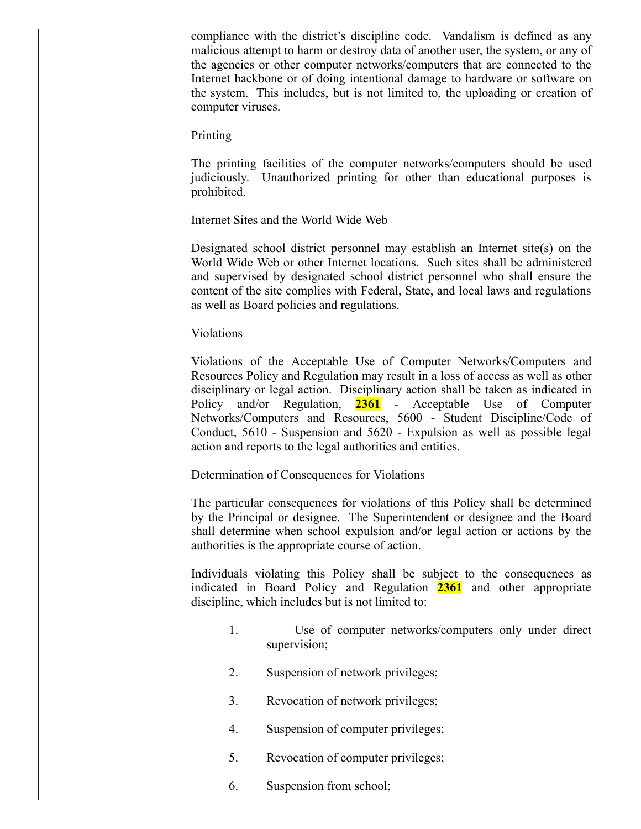compliance with the district's discipline code. Vandalism is defined as any malicious attempt to harm or destroy data of another user, the system, or any of the agencies or other computer networks/computers that are connected to the Internet backbone or of doing intentional damage to hardware or software on the system. This includes, but is not limited to, the uploading or creation of computer viruses.

Printing

The printing facilities of the computer networks/computers should be used judiciously. Unauthorized printing for other than educational purposes is prohibited.

Internet Sites and the World Wide Web

Designated school district personnel may establish an Internet  $\text{site}(s)$  on the World Wide Web or other Internet locations. Such sites shall be administered and supervised by designated school district personnel who shall ensure the content of the site complies with Federal, State, and local laws and regulations as well as Board policies and regulations.

Violations

Violations of the Acceptable Use of Computer Networks/Computers and Resources Policy and Regulation may result in a loss of access as well as other disciplinary or legal action. Disciplinary action shall be taken as indicated in Policy and/or Regulation, 2361 - Acceptable Use of Computer Networks/Computers and Resources, 5600 - Student Discipline/Code of Conduct,  $5610$  - Suspension and  $5620$  - Expulsion as well as possible legal action and reports to the legal authorities and entities.

Determination of Consequences for Violations

The particular consequences for violations of this Policy shall be determined by the Principal or designee. The Superintendent or designee and the Board shall determine when school expulsion and/or legal action or actions by the authorities is the appropriate course of action.

Individuals violating this Policy shall be subject to the consequences as indicated in Board Policy and Regulation **2361** and other appropriate discipline, which includes but is not limited to:

- 1. Use of computer networks/computers only under direct supervision;
- 2. Suspension of network privileges;
- 3. Revocation of network privileges;
- 4. Suspension of computer privileges;
- 5. Revocation of computer privileges;
- 6. Suspension from school;